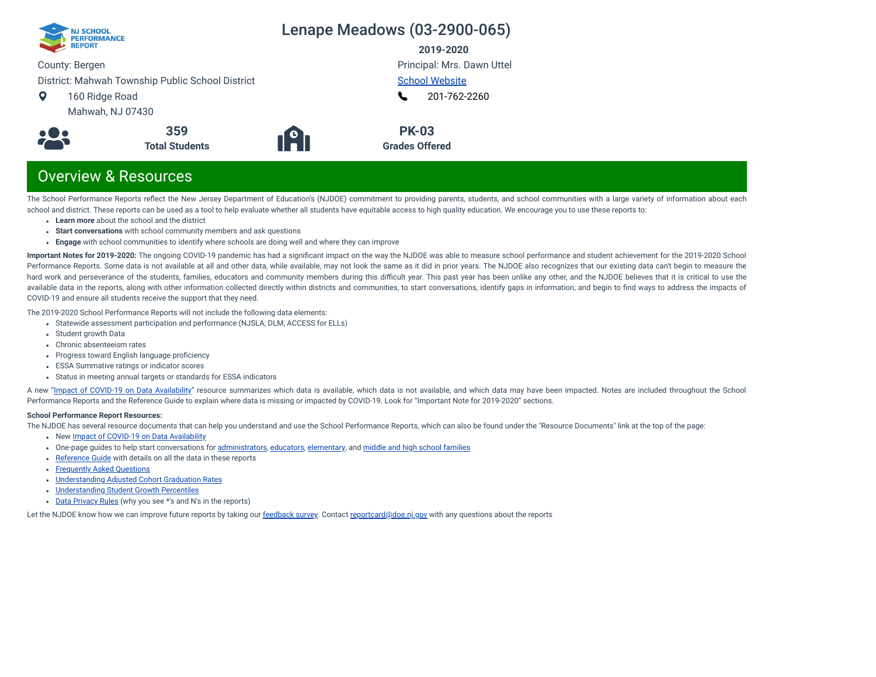

**2019-2020**

County: Bergen

District: Mahwah Township Public School District

- $\bullet$ 160 Ridge Road
	- Mahwah, NJ 07430





Principal: Mrs. Dawn Uttel [School Website](https://www.mahwah.k12.nj.us/Domain/11) [201-762-2260](tel:+201-762-2260) L

**PK-03 Grades Offered**

# Overview & Resources

The School Performance Reports reflect the New Jersey Department of Education's (NJDOE) commitment to providing parents, students, and school communities with a large variety of information about each school and district. These reports can be used as a tool to help evaluate whether all students have equitable access to high quality education. We encourage you to use these reports to:

- **Learn more** about the school and the district
- **Start conversations** with school community members and ask questions
- **Engage** with school communities to identify where schools are doing well and where they can improve

**Important Notes for 2019-2020:** The ongoing COVID-19 pandemic has had a signicant impact on the way the NJDOE was able to measure school performance and student achievement for the 2019-2020 School Performance Reports. Some data is not available at all and other data, while available, may not look the same as it did in prior years. The NJDOE also recognizes that our existing data can't begin to measure the hard work and perseverance of the students, families, educators and community members during this difficult year. This past year has been unlike any other, and the NJDOE believes that it is critical to use the available data in the reports, along with other information collected directly within districts and communities, to start conversations, identify gaps in information, and begin to find ways to address the impacts of COVID-19 and ensure all students receive the support that they need.

The 2019-2020 School Performance Reports will not include the following data elements:

- Statewide assessment participation and performance (NJSLA, DLM, ACCESS for ELLs)
- Student growth Data
- Chronic absenteeism rates
- Progress toward English language proficiency
- ESSA Summative ratings or indicator scores
- Status in meeting annual targets or standards for ESSA indicators

A new "Impact of [COVID-19 on](https://www.nj.gov/education/schoolperformance/resources/docs/2019-20%20School%20Performance%20Reports%20-%20Impact%20of%20COVID-19%20on%20Data%20Availability.pdf) Data Availability" resource summarizes which data is available, which data is not available, and which data may have been impacted. Notes are included throughout the School Performance Reports and the Reference Guide to explain where data is missing or impacted by COVID-19. Look for "Important Note for 2019-2020" sections.

### **School Performance Report Resources:**

The NJDOE has several resource documents that can help you understand and use the School Performance Reports, which can also be found under the "Resource Documents" link at the top of the page:

- New Impact of [COVID-19 on](https://www.nj.gov/education/schoolperformance/resources/docs/2019-20%20School%20Performance%20Reports%20-%20Impact%20of%20COVID-19%20on%20Data%20Availability.pdf) Data Availability
- One-page guides to help start conversations for [administrators](https://www.nj.gov/education/schoolperformance/resources/docs/2019-20%20School%20Performance%20Reports%20-%20One-Page%20Guides%20-%20Administrators.pdf), [educators](https://www.nj.gov/education/schoolperformance/resources/docs/2019-20%20School%20Performance%20Reports%20-%20One-Page%20Guides%20-%20Educators.pdf), [elementary](https://www.nj.gov/education/schoolperformance/resources/docs/2019-20%20School%20Performance%20Reports%20-%20One-Page%20Guides%20-%20FamiliesCommunities.pdf), and middle and high school [families](https://www.nj.gov/education/schoolperformance/resources/docs/2019-20%20School%20Performance%20Reports%20-%20One-Page%20Guides%20-%20MS%20and%20HS.pdf)
- [Reference](https://rc.doe.state.nj.us/Documents/1920/ReferenceGuide.pdf) Guide with details on all the data in these reports
- [Frequently](https://rc.doe.state.nj.us/Documents/1920/FAQs.pdf) Asked Questions
- [Understanding](https://www.nj.gov/education/schoolperformance/grad/docs/Understanding%20Adjusted%20Cohort%20Graduation%20Rates.pdf) Adjusted Cohort Graduation Rates
- [Understanding](https://www.nj.gov/education/schoolperformance/growth/Understanding%20Median%20Student%20Growth%20Percentiles.pdf) Student Growth Percentiles
- Data [Privacy](https://rc.doe.state.nj.us/Documents/1920/DataPrivacyRules.pdf) Rules (why you see \*'s and N's in the reports)

Let the NJDOE know how we can improve future reports by taking our [feedback](https://www.surveymonkey.com/r/2019-20SPR) survey. Contact [reportcard@doe.nj.gov](mailto:reportcard@doe.nj.gov) with any questions about the reports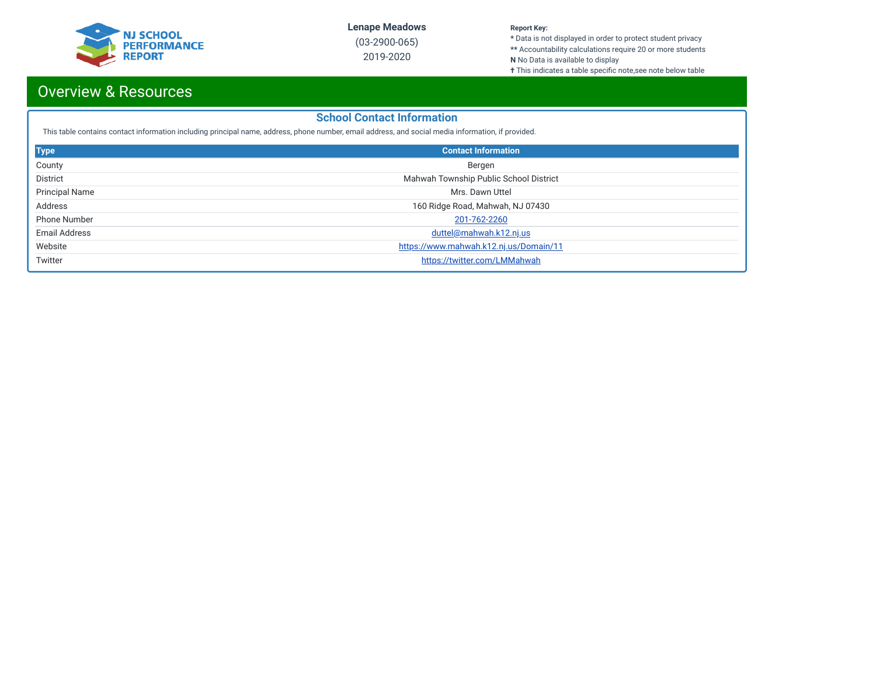

(03-2900-065) 2019-2020

#### **Report Key:**

**\*** Data is not displayed in order to protect student privacy **\*\*** Accountability calculations require 20 or more students

- **N** No Data is available to display
- **†** This indicates a table specific note,see note below table

# Overview & Resources

### **School Contact Information**

This table contains contact information including principal name, address, phone number, email address, and social media information, if provided.

| <b>Type</b>           | <b>Contact Information</b>             |
|-----------------------|----------------------------------------|
| County                | Bergen                                 |
| <b>District</b>       | Mahwah Township Public School District |
| <b>Principal Name</b> | Mrs. Dawn Uttel                        |
| Address               | 160 Ridge Road, Mahwah, NJ 07430       |
| <b>Phone Number</b>   | 201-762-2260                           |
| <b>Email Address</b>  | duttel@mahwah.k12.nj.us                |
| Website               | https://www.mahwah.k12.nj.us/Domain/11 |
| Twitter               | https://twitter.com/LMMahwah           |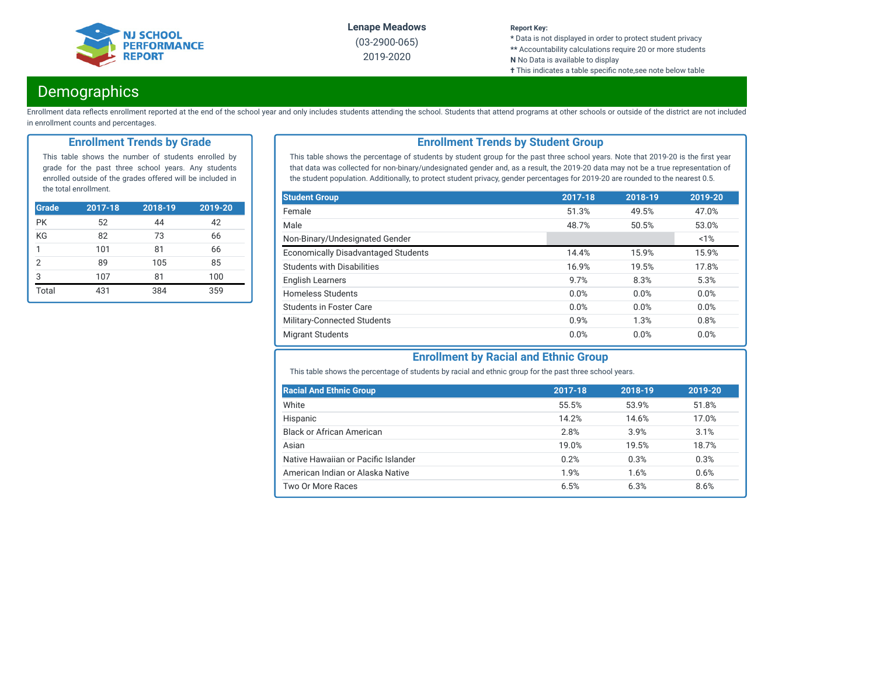

(03-2900-065) 2019-2020

#### **Report Key:**

**\*** Data is not displayed in order to protect student privacy **\*\*** Accountability calculations require 20 or more students

- **N** No Data is available to display
- **†** This indicates a table specific note,see note below table

# **Demographics**

Enrollment data reflects enrollment reported at the end of the school year and only includes students attending the school. Students that attend programs at other schools or outside of the district are not included in enrollment counts and percentages.

### **Enrollment Trends by Grade**

This table shows the number of students enrolled by grade for the past three school years. Any students enrolled outside of the grades offered will be included in the total enrollment.

| <b>Grade</b>   | $2017 - 18$ | 2018-19 | 2019-20 |
|----------------|-------------|---------|---------|
| <b>PK</b>      | 52          | 44      | 42      |
| KG             | 82          | 73      | 66      |
| 1              | 101         | 81      | 66      |
| $\overline{2}$ | 89          | 105     | 85      |
| 3              | 107         | 81      | 100     |
| Total          | 431         | 384     | 359     |

### **Enrollment Trends by Student Group**

This table shows the percentage of students by student group for the past three school years. Note that 2019-20 is the first year that data was collected for non-binary/undesignated gender and, as a result, the 2019-20 data may not be a true representation of the student population. Additionally, to protect student privacy, gender percentages for 2019-20 are rounded to the nearest 0.5.

| <b>Student Group</b>                       | 2017-18 | 2018-19 | 2019-20 |
|--------------------------------------------|---------|---------|---------|
| Female                                     | 51.3%   | 49.5%   | 47.0%   |
| Male                                       | 48.7%   | 50.5%   | 53.0%   |
| Non-Binary/Undesignated Gender             |         |         | 1%      |
| <b>Economically Disadvantaged Students</b> | 14.4%   | 15.9%   | 15.9%   |
| <b>Students with Disabilities</b>          | 16.9%   | 19.5%   | 17.8%   |
| <b>English Learners</b>                    | 9.7%    | 8.3%    | 5.3%    |
| <b>Homeless Students</b>                   | 0.0%    | 0.0%    | 0.0%    |
| Students in Foster Care                    | 0.0%    | 0.0%    | 0.0%    |
| Military-Connected Students                | 0.9%    | 1.3%    | 0.8%    |
| <b>Migrant Students</b>                    | 0.0%    | 0.0%    | 0.0%    |

### **Enrollment by Racial and Ethnic Group**

This table shows the percentage of students by racial and ethnic group for the past three school years.

| <b>Racial And Ethnic Group</b>      | 2017-18 | 2018-19 | 2019-20 |
|-------------------------------------|---------|---------|---------|
| White                               | 55.5%   | 53.9%   | 51.8%   |
| Hispanic                            | 14.2%   | 14.6%   | 17.0%   |
| <b>Black or African American</b>    | 2.8%    | 3.9%    | 3.1%    |
| Asian                               | 19.0%   | 19.5%   | 18.7%   |
| Native Hawaiian or Pacific Islander | 0.2%    | 0.3%    | 0.3%    |
| American Indian or Alaska Native    | 1.9%    | 1.6%    | 0.6%    |
| Two Or More Races                   | 6.5%    | 6.3%    | 8.6%    |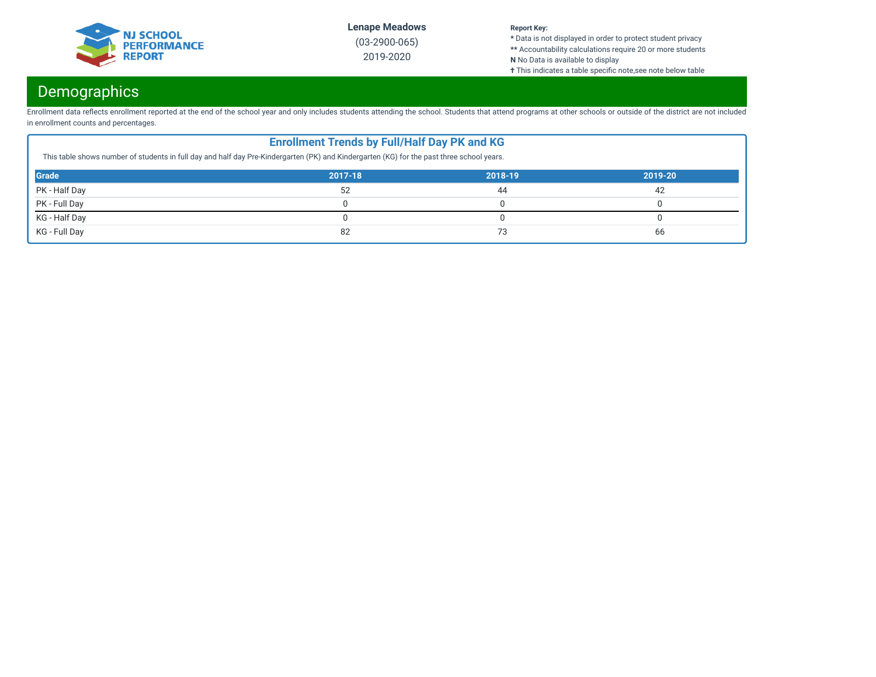

(03-2900-065) 2019-2020

#### **Report Key:**

**\*** Data is not displayed in order to protect student privacy **\*\*** Accountability calculations require 20 or more students

**N** No Data is available to display

**†** This indicates a table specific note,see note below table

# Demographics

Enrollment data reflects enrollment reported at the end of the school year and only includes students attending the school. Students that attend programs at other schools or outside of the district are not included in enrollment counts and percentages.

| <b>Enrollment Trends by Full/Half Day PK and KG</b><br>This table shows number of students in full day and half day Pre-Kindergarten (PK) and Kindergarten (KG) for the past three school years. |         |         |         |  |  |  |
|--------------------------------------------------------------------------------------------------------------------------------------------------------------------------------------------------|---------|---------|---------|--|--|--|
| <b>Grade</b>                                                                                                                                                                                     | 2017-18 | 2018-19 | 2019-20 |  |  |  |
| PK - Half Day                                                                                                                                                                                    | 52      | 44      | 42      |  |  |  |
| PK - Full Day                                                                                                                                                                                    |         |         |         |  |  |  |
| KG - Half Day                                                                                                                                                                                    |         |         |         |  |  |  |
| KG - Full Day<br>82<br>66<br>73                                                                                                                                                                  |         |         |         |  |  |  |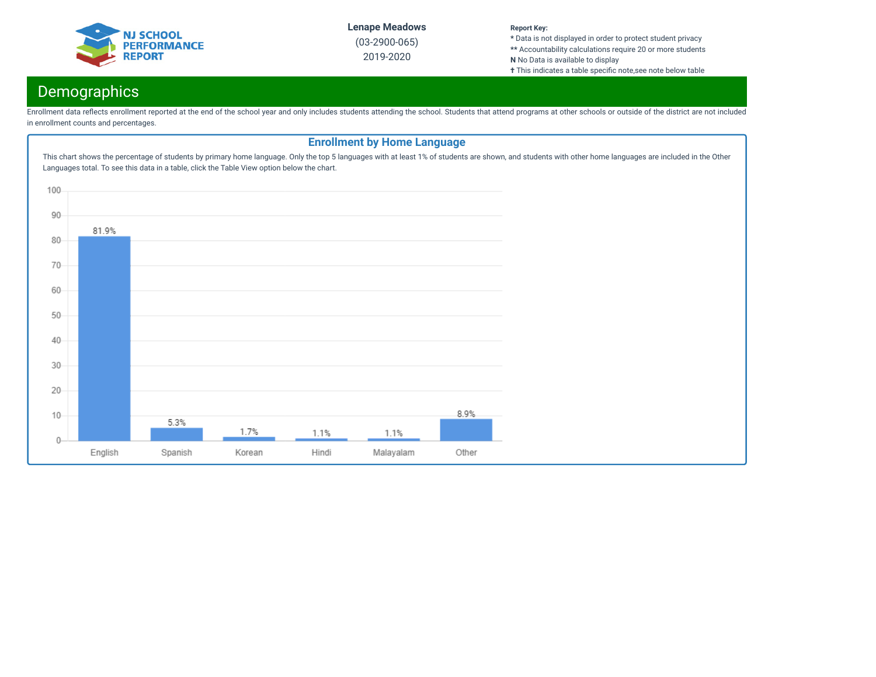

(03-2900-065) 2019-2020

#### **Report Key:**

**\*** Data is not displayed in order to protect student privacy **\*\*** Accountability calculations require 20 or more students **N** No Data is available to display

**†** This indicates a table specific note,see note below table

# Demographics

Enrollment data reflects enrollment reported at the end of the school year and only includes students attending the school. Students that attend programs at other schools or outside of the district are not included in enrollment counts and percentages.

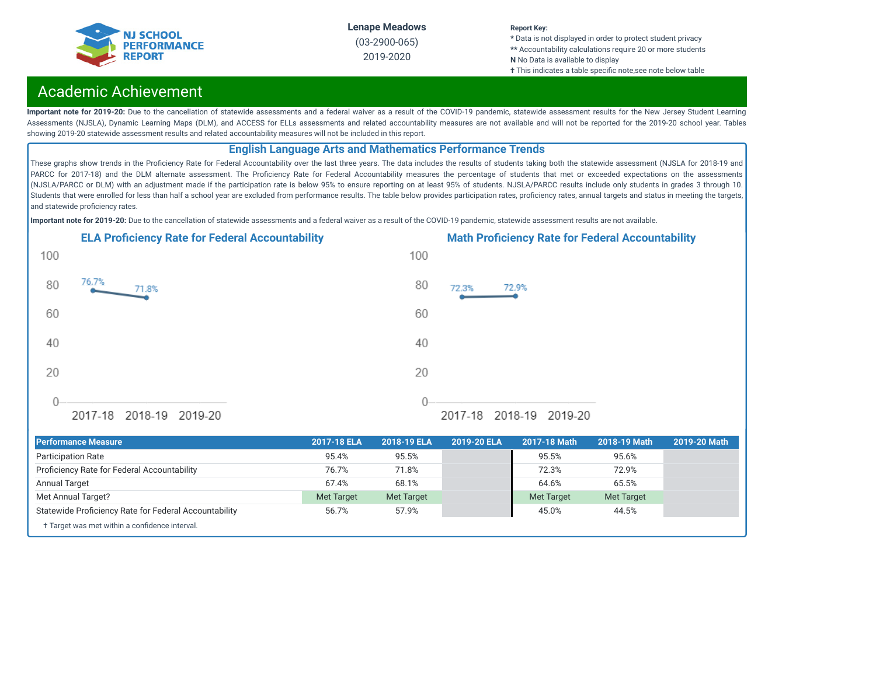

#### **Report Key:**

**\*** Data is not displayed in order to protect student privacy **\*\*** Accountability calculations require 20 or more students **N** No Data is available to display

**†** This indicates a table specific note,see note below table

# Academic Achievement

Important note for 2019-20: Due to the cancellation of statewide assessments and a federal waiver as a result of the COVID-19 pandemic, statewide assessment results for the New Jersey Student Learning Assessments (NJSLA), Dynamic Learning Maps (DLM), and ACCESS for ELLs assessments and related accountability measures are not available and will not be reported for the 2019-20 school year. Tables showing 2019-20 statewide assessment results and related accountability measures will not be included in this report.

### **English Language Arts and Mathematics Performance Trends**

These graphs show trends in the Proficiency Rate for Federal Accountability over the last three years. The data includes the results of students taking both the statewide assessment (NJSLA for 2018-19 and PARCC for 2017-18) and the DLM alternate assessment. The Proficiency Rate for Federal Accountability measures the percentage of students that met or exceeded expectations on the assessments (NJSLA/PARCC or DLM) with an adjustment made if the participation rate is below 95% to ensure reporting on at least 95% of students. NJSLA/PARCC results include only students in grades 3 through 10. Students that were enrolled for less than half a school year are excluded from performance results. The table below provides participation rates, proficiency rates, annual targets and status in meeting the targets, and statewide proficiency rates.

**Important note for 2019-20:** Due to the cancellation of statewide assessments and a federal waiver as a result of the COVID-19 pandemic, statewide assessment results are not available.





| <b>Performance Measure</b>                            | 2017-18 ELA       | 2018-19 ELA | 2019-20 ELA | 2017-18 Math      | 2018-19 Math      | 2019-20 Math |
|-------------------------------------------------------|-------------------|-------------|-------------|-------------------|-------------------|--------------|
| <b>Participation Rate</b>                             | 95.4%             | 95.5%       |             | 95.5%             | 95.6%             |              |
| Proficiency Rate for Federal Accountability           | 76.7%             | 71.8%       |             | 72.3%             | 72.9%             |              |
| <b>Annual Target</b>                                  | 67.4%             | 68.1%       |             | 64.6%             | 65.5%             |              |
| Met Annual Target?                                    | <b>Met Target</b> | Met Target  |             | <b>Met Target</b> | <b>Met Target</b> |              |
| Statewide Proficiency Rate for Federal Accountability | 56.7%             | 57.9%       |             | 45.0%             | 44.5%             |              |
| † Target was met within a confidence interval.        |                   |             |             |                   |                   |              |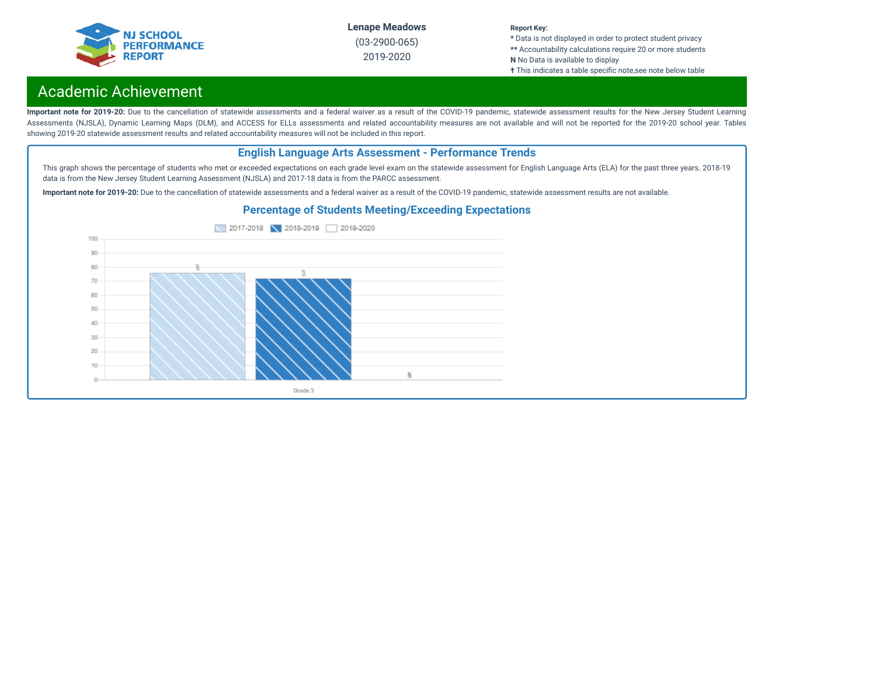

#### **Report Key:**

**\*** Data is not displayed in order to protect student privacy **\*\*** Accountability calculations require 20 or more students **N** No Data is available to display

**†** This indicates a table specific note, see note below table

# Academic Achievement

Important note for 2019-20: Due to the cancellation of statewide assessments and a federal waiver as a result of the COVID-19 pandemic, statewide assessment results for the New Jersey Student Learning Assessments (NJSLA), Dynamic Learning Maps (DLM), and ACCESS for ELLs assessments and related accountability measures are not available and will not be reported for the 2019-20 school year. Tables showing 2019-20 statewide assessment results and related accountability measures will not be included in this report.

### **English Language Arts Assessment - Performance Trends**

This graph shows the percentage of students who met or exceeded expectations on each grade level exam on the statewide assessment for English Language Arts (ELA) for the past three years. 2018-19 data is from the New Jersey Student Learning Assessment (NJSLA) and 2017-18 data is from the PARCC assessment.

**Important note for 2019-20:** Due to the cancellation of statewide assessments and a federal waiver as a result of the COVID-19 pandemic, statewide assessment results are not available.



### **Percentage of Students Meeting/Exceeding Expectations**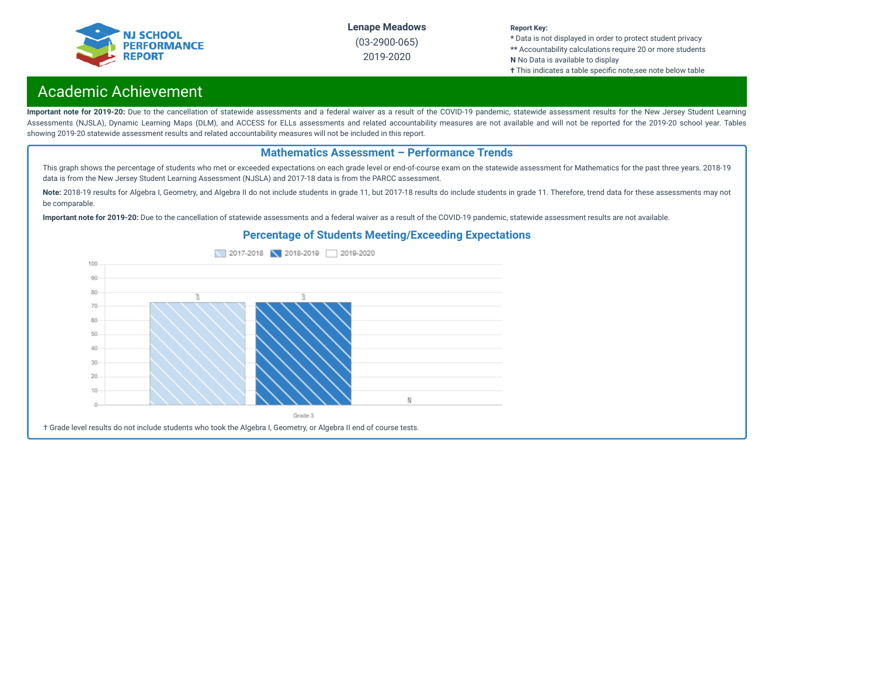

**Report Key:**

**\*** Data is not displayed in order to protect student privacy **\*\*** Accountability calculations require 20 or more students **N** No Data is available to display

**†** This indicates a table specific note,see note below table

# Academic Achievement

Important note for 2019-20: Due to the cancellation of statewide assessments and a federal waiver as a result of the COVID-19 pandemic, statewide assessment results for the New Jersey Student Learning Assessments (NJSLA), Dynamic Learning Maps (DLM), and ACCESS for ELLs assessments and related accountability measures are not available and will not be reported for the 2019-20 school year. Tables showing 2019-20 statewide assessment results and related accountability measures will not be included in this report.

### **Mathematics Assessment – Performance Trends**

This graph shows the percentage of students who met or exceeded expectations on each grade level or end-of-course exam on the statewide assessment for Mathematics for the past three years. 2018-19 data is from the New Jersey Student Learning Assessment (NJSLA) and 2017-18 data is from the PARCC assessment.

Note: 2018-19 results for Algebra I, Geometry, and Algebra II do not include students in grade 11, but 2017-18 results do include students in grade 11. Therefore, trend data for these assessments may not be comparable.

**Important note for 2019-20:** Due to the cancellation of statewide assessments and a federal waiver as a result of the COVID-19 pandemic, statewide assessment results are not available.

### **Percentage of Students Meeting/Exceeding Expectations**

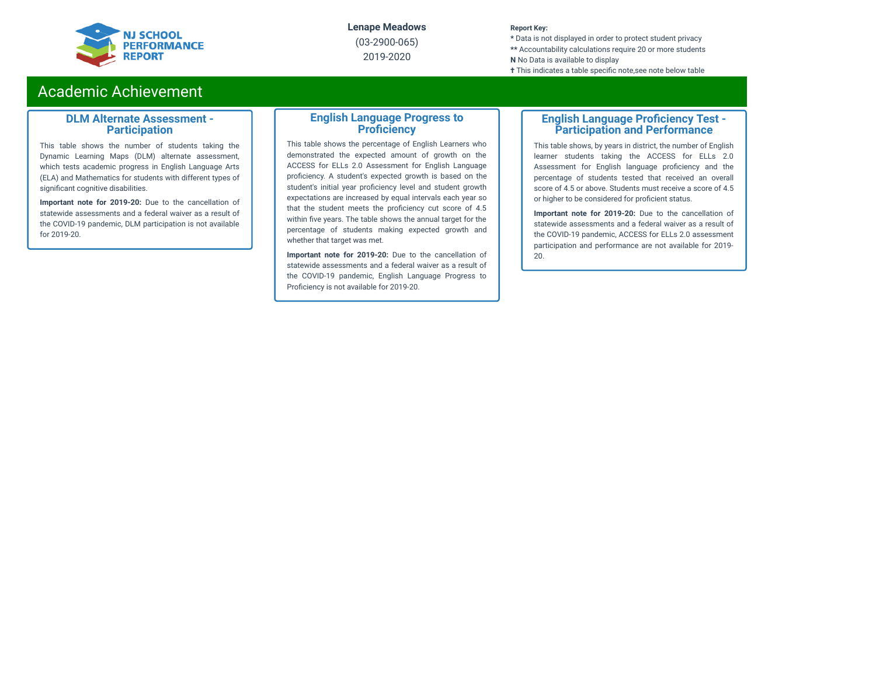

(03-2900-065) 2019-2020

#### **Report Key:**

**\*** Data is not displayed in order to protect student privacy **\*\*** Accountability calculations require 20 or more students **N** No Data is available to display **†** This indicates a table specific note, see note below table

# Academic Achievement

### **DLM Alternate Assessment - Participation**

This table shows the number of students taking the Dynamic Learning Maps (DLM) alternate assessment, which tests academic progress in English Language Arts (ELA) and Mathematics for students with different types of significant cognitive disabilities.

**Important note for 2019-20:** Due to the cancellation of statewide assessments and a federal waiver as a result of the COVID-19 pandemic, DLM participation is not available for 2019-20.

### **English Language Progress to Proficiency**

This table shows the percentage of English Learners who demonstrated the expected amount of growth on the ACCESS for ELLs 2.0 Assessment for English Language proficiency. A student's expected growth is based on the student's initial year proficiency level and student growth expectations are increased by equal intervals each year so that the student meets the proficiency cut score of 4.5 within five years. The table shows the annual target for the percentage of students making expected growth and whether that target was met.

**Important note for 2019-20:** Due to the cancellation of statewide assessments and a federal waiver as a result of the COVID-19 pandemic, English Language Progress to Proficiency is not available for 2019-20.

### **English Language Proficiency Test -Participation and Performance**

This table shows, by years in district, the number of English learner students taking the ACCESS for ELLs 2.0 Assessment for English language proficiency and the percentage of students tested that received an overall score of 4.5 or above. Students must receive a score of 4.5 or higher to be considered for proficient status.

**Important note for 2019-20:** Due to the cancellation of statewide assessments and a federal waiver as a result of the COVID-19 pandemic, ACCESS for ELLs 2.0 assessment participation and performance are not available for 2019- 20.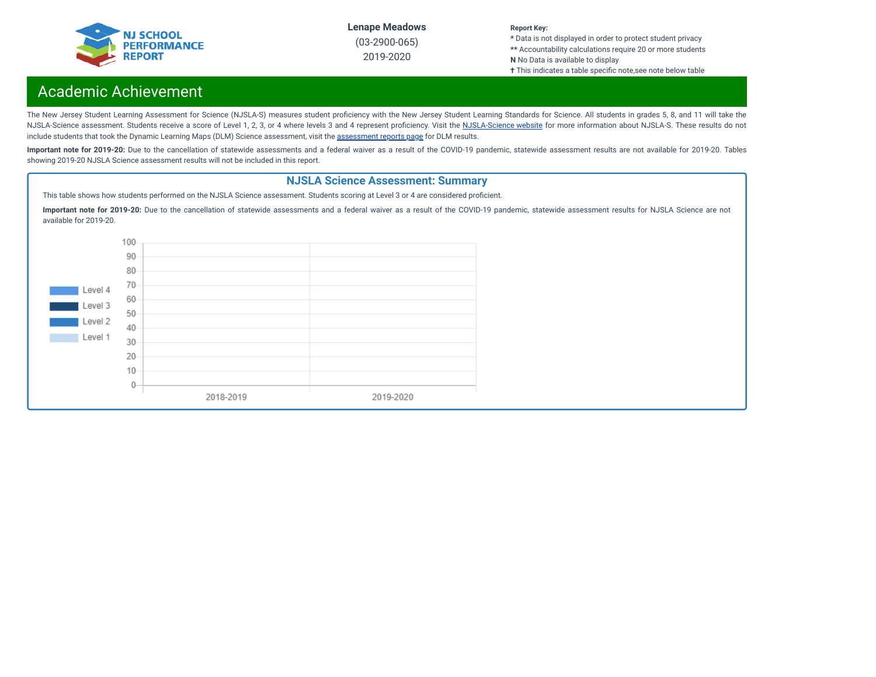

#### **Report Key:**

**\*** Data is not displayed in order to protect student privacy **\*\*** Accountability calculations require 20 or more students **N** No Data is available to display

**†** This indicates a table specific note, see note below table

# Academic Achievement

The New Jersey Student Learning Assessment for Science (NJSLA-S) measures student proficiency with the New Jersey Student Learning Standards for Science. All students in grades 5, 8, and 11 will take the [NJSLA-Science](https://www.nj.gov/education/assessment/sla/science/) assessment. Students receive a score of Level 1, 2, 3, or 4 where levels 3 and 4 represent proficiency. Visit the NJSLA-Science website for more information about NJSLA-S. These results do not include students that took the Dynamic Learning Maps (DLM) Science [assessment](https://www.nj.gov/education/schools/achievement/), visit the assessment reports page for DLM results.

Important note for 2019-20: Due to the cancellation of statewide assessments and a federal waiver as a result of the COVID-19 pandemic, statewide assessment results are not available for 2019-20. Tables showing 2019-20 NJSLA Science assessment results will not be included in this report.

### **NJSLA Science Assessment: Summary**

This table shows how students performed on the NJSLA Science assessment. Students scoring at Level 3 or 4 are considered proficient.

**Important note for 2019-20:** Due to the cancellation of statewide assessments and a federal waiver as a result of the COVID-19 pandemic, statewide assessment results for NJSLA Science are not available for 2019-20.

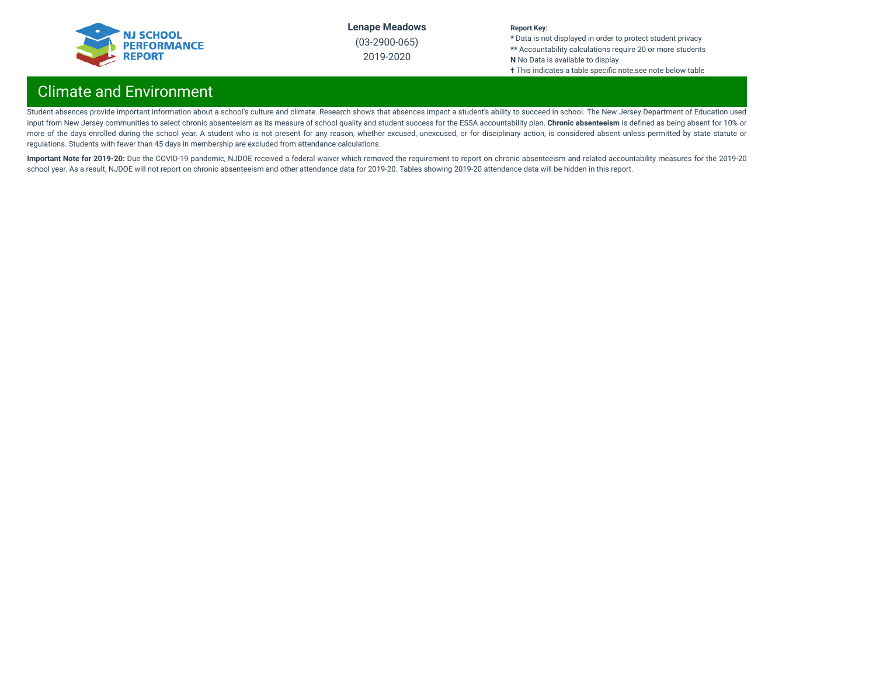

2019-2020

#### **Report Key:**

**\*** Data is not displayed in order to protect student privacy **\*\*** Accountability calculations require 20 or more students **N** No Data is available to display **†** This indicates a table specific note,see note below table

# Climate and Environment

Student absences provide important information about a school's culture and climate. Research shows that absences impact a student's ability to succeed in school. The New Jersey Department of Education used input from New Jersey communities to select chronic absenteeism as its measure of school quality and student success for the ESSA accountability plan. **Chronic absenteeism** is dened as being absent for 10% or more of the days enrolled during the school year. A student who is not present for any reason, whether excused, unexcused, or for disciplinary action, is considered absent unless permitted by state statute or regulations. Students with fewer than 45 days in membership are excluded from attendance calculations.

Important Note for 2019-20: Due the COVID-19 pandemic, NJDOE received a federal waiver which removed the requirement to report on chronic absenteeism and related accountability measures for the 2019-20 school year. As a result, NJDOE will not report on chronic absenteeism and other attendance data for 2019-20. Tables showing 2019-20 attendance data will be hidden in this report.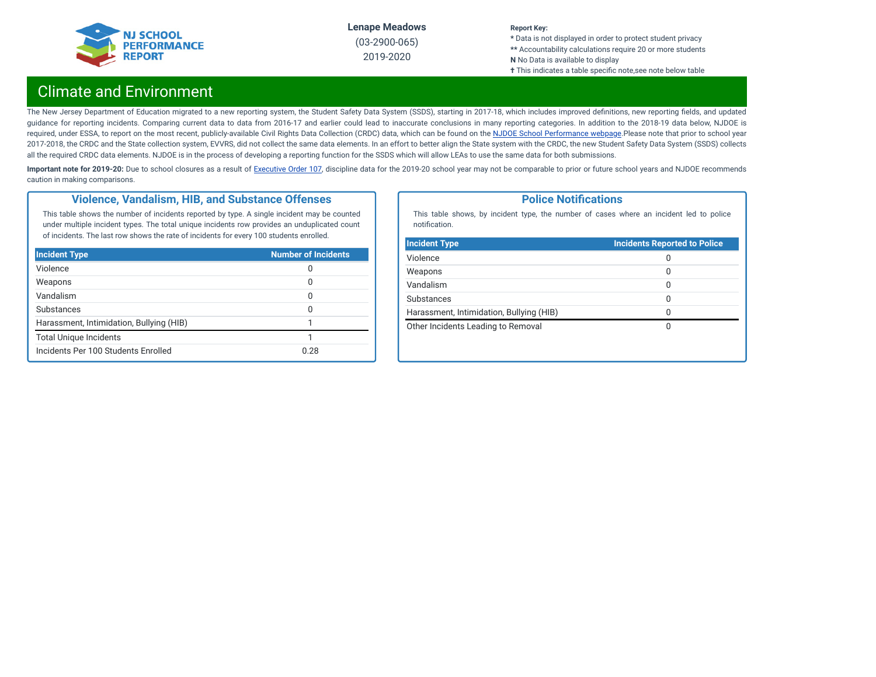

#### **Report Key:**

**\*** Data is not displayed in order to protect student privacy **\*\*** Accountability calculations require 20 or more students **N** No Data is available to display **†** This indicates a table specific note, see note below table

# Climate and Environment

The New Jersey Department of Education migrated to a new reporting system, the Student Safety Data System (SSDS), starting in 2017-18, which includes improved definitions, new reporting fields, and updated guidance for reporting incidents. Comparing current data to data from 2016-17 and earlier could lead to inaccurate conclusions in many reporting categories. In addition to the 2018-19 data below, NJDOE is required, under ESSA, to report on the most recent, publicly-available Civil Rights Data Collection (CRDC) data, which can be found on the NJDOE School [Performance](https://www.nj.gov/education/schoolperformance/climate/) webpage.Please note that prior to school year 2017-2018, the CRDC and the State collection system, EVVRS, did not collect the same data elements. In an effort to better align the State system with the CRDC, the new Student Safety Data System (SSDS) collects all the required CRDC data elements. NJDOE is in the process of developing a reporting function for the SSDS which will allow LEAs to use the same data for both submissions.

Important note for 2019-20: Due to school closures as a result of [Executive](https://nj.gov/infobank/eo/056murphy/pdf/EO-107.pdf) Order 107, discipline data for the 2019-20 school year may not be comparable to prior or future school years and NJDOE recommends caution in making comparisons.

### **Violence, Vandalism, HIB, and Substance Offenses**

This table shows the number of incidents reported by type. A single incident may be counted under multiple incident types. The total unique incidents row provides an unduplicated count of incidents. The last row shows the rate of incidents for every 100 students enrolled.

| <b>Incident Type</b>                     | <b>Number of Incidents</b> |
|------------------------------------------|----------------------------|
| Violence                                 | O                          |
| Weapons                                  | 0                          |
| Vandalism                                | O                          |
| Substances                               | O                          |
| Harassment, Intimidation, Bullying (HIB) |                            |
| <b>Total Unique Incidents</b>            |                            |
| Incidents Per 100 Students Enrolled      | 0.28                       |

### **Police Notifications**

This table shows, by incident type, the number of cases where an incident led to police notification.

| <b>Incident Type</b>                     | <b>Incidents Reported to Police</b> |
|------------------------------------------|-------------------------------------|
| Violence                                 | 0                                   |
| Weapons                                  | 0                                   |
| Vandalism                                | 0                                   |
| Substances                               | 0                                   |
| Harassment, Intimidation, Bullying (HIB) | 0                                   |
| Other Incidents Leading to Removal       | Ω                                   |
|                                          |                                     |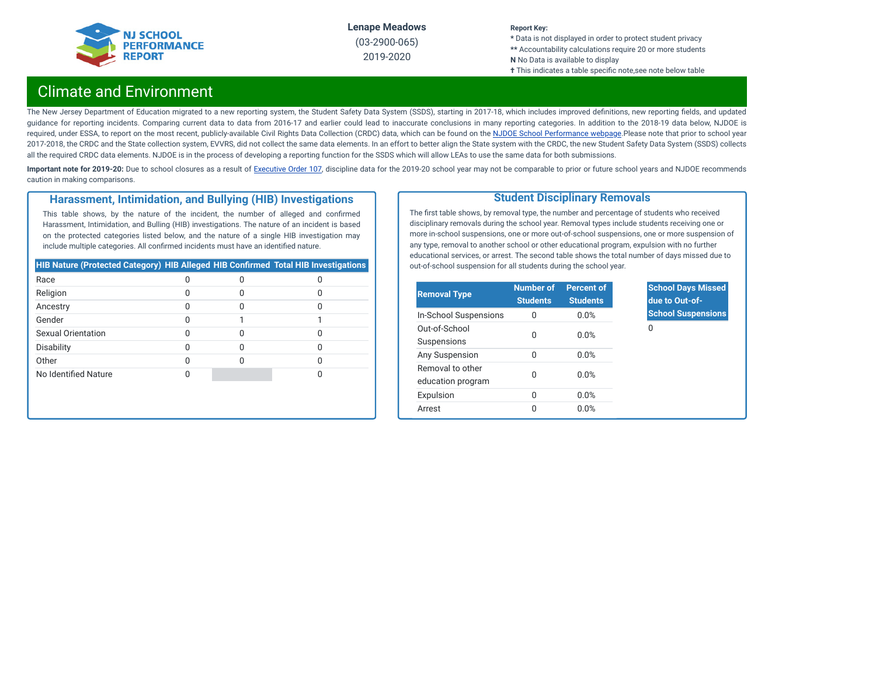

#### **Report Key:**

**\*** Data is not displayed in order to protect student privacy **\*\*** Accountability calculations require 20 or more students **N** No Data is available to display **†** This indicates a table specific note,see note below table

# Climate and Environment

The New Jersey Department of Education migrated to a new reporting system, the Student Safety Data System (SSDS), starting in 2017-18, which includes improved definitions, new reporting fields, and updated guidance for reporting incidents. Comparing current data to data from 2016-17 and earlier could lead to inaccurate conclusions in many reporting categories. In addition to the 2018-19 data below, NJDOE is required, under ESSA, to report on the most recent, publicly-available Civil Rights Data Collection (CRDC) data, which can be found on the NJDOE School [Performance](https://www.nj.gov/education/schoolperformance/climate/) webpage.Please note that prior to school year 2017-2018, the CRDC and the State collection system, EVVRS, did not collect the same data elements. In an effort to better align the State system with the CRDC, the new Student Safety Data System (SSDS) collects all the required CRDC data elements. NJDOE is in the process of developing a reporting function for the SSDS which will allow LEAs to use the same data for both submissions.

Important note for 2019-20: Due to school closures as a result of [Executive](https://nj.gov/infobank/eo/056murphy/pdf/EO-107.pdf) Order 107, discipline data for the 2019-20 school year may not be comparable to prior or future school years and NJDOE recommends caution in making comparisons.

### **Harassment, Intimidation, and Bullying (HIB) Investigations**

This table shows, by the nature of the incident, the number of alleged and confirmed Harassment, Intimidation, and Bulling (HIB) investigations. The nature of an incident is based on the protected categories listed below, and the nature of a single HIB investigation may include multiple categories. All confirmed incidents must have an identified nature.

| HIB Nature (Protected Category) HIB Alleged HIB Confirmed Total HIB Investigations |  |  |
|------------------------------------------------------------------------------------|--|--|
| Race                                                                               |  |  |
| Religion                                                                           |  |  |
| Ancestry                                                                           |  |  |
| Gender                                                                             |  |  |
| Sexual Orientation                                                                 |  |  |
| Disability                                                                         |  |  |
| Other                                                                              |  |  |
| No Identified Nature                                                               |  |  |

### **Student Disciplinary Removals**

The first table shows, by removal type, the number and percentage of students who received disciplinary removals during the school year. Removal types include students receiving one or more in-school suspensions, one or more out-of-school suspensions, one or more suspension of any type, removal to another school or other educational program, expulsion with no further educational services, or arrest. The second table shows the total number of days missed due to out-of-school suspension for all students during the school year.

| <b>Removal Type</b>                   | <b>Number of</b><br><b>Students</b> | <b>Percent of</b><br><b>Students</b> |
|---------------------------------------|-------------------------------------|--------------------------------------|
| In-School Suspensions                 | $\Omega$                            | 0.0%                                 |
| Out-of-School<br>Suspensions          | U                                   | 0.0%                                 |
| Any Suspension                        | U                                   | 0.0%                                 |
| Removal to other<br>education program | U                                   | 0.0%                                 |
| Expulsion                             | 0                                   | 0.0%                                 |
| Arrest                                | O                                   | 0.0%                                 |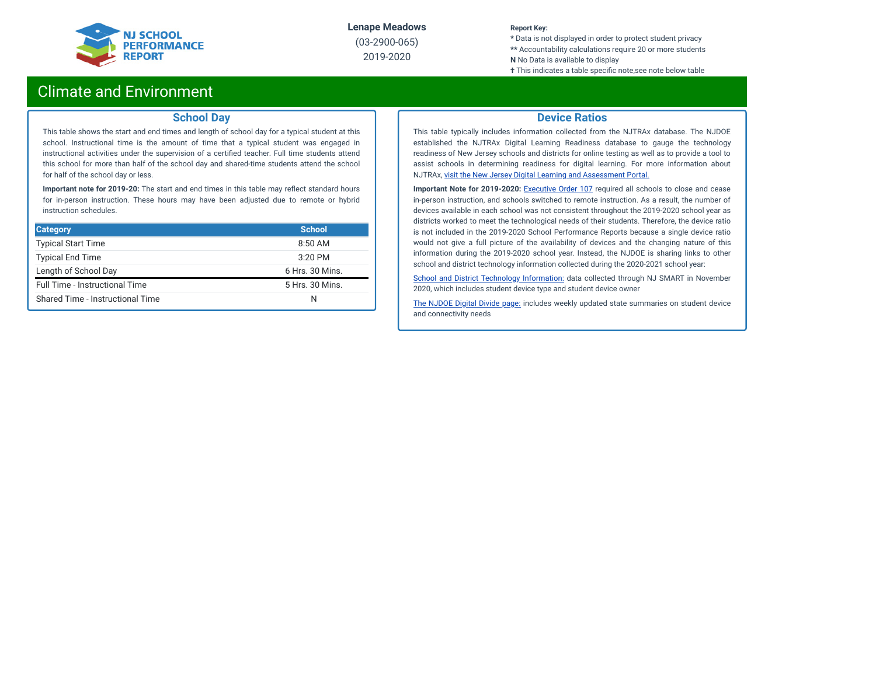

(03-2900-065) 2019-2020

#### **Report Key:**

**\*** Data is not displayed in order to protect student privacy **\*\*** Accountability calculations require 20 or more students **N** No Data is available to display

**†** This indicates a table specific note, see note below table

# Climate and Environment

### **School Day**

This table shows the start and end times and length of school day for a typical student at this school. Instructional time is the amount of time that a typical student was engaged in instructional activities under the supervision of a certified teacher. Full time students attend this school for more than half of the school day and shared-time students attend the school for half of the school day or less.

**Important note for 2019-20:** The start and end times in this table may reflect standard hours for in-person instruction. These hours may have been adjusted due to remote or hybrid instruction schedules.

| <b>Category</b>                  | <b>School</b>   |
|----------------------------------|-----------------|
| <b>Typical Start Time</b>        | $8:50$ AM       |
| <b>Typical End Time</b>          | 3:20 PM         |
| Length of School Day             | 6 Hrs. 30 Mins. |
| Full Time - Instructional Time   | 5 Hrs. 30 Mins. |
| Shared Time - Instructional Time | N               |

### **Device Ratios**

This table typically includes information collected from the NJTRAx database. The NJDOE established the NJTRAx Digital Learning Readiness database to gauge the technology readiness of New Jersey schools and districts for online testing as well as to provide a tool to assist schools in determining readiness for digital learning. For more information about NJTRAx, visit the New Jersey Digital Learning and [Assessment](https://njdigitallearning.org/njtrax/) Portal.

**Important Note for 2019-2020:** [Executive](https://nj.gov/infobank/eo/056murphy/pdf/EO-107.pdf) Order 107 required all schools to close and cease in-person instruction, and schools switched to remote instruction. As a result, the number of devices available in each school was not consistent throughout the 2019-2020 school year as districts worked to meet the technological needs of their students. Therefore, the device ratio is not included in the 2019-2020 School Performance Reports because a single device ratio would not give a full picture of the availability of devices and the changing nature of this information during the 2019-2020 school year. Instead, the NJDOE is sharing links to other school and district technology information collected during the 2020-2021 school year:

School and District Technology [Information:](https://www.state.nj.us/education/schoolperformance/climate/docs/DistrictReportedStudentDeviceInformation.xlsx) data collected through NJ SMART in November 2020, which includes student device type and student device owner

The [NJDOE](https://www.nj.gov/education/grants/digitaldivide/techsurveys.shtml) Digital Divide page: includes weekly updated state summaries on student device and connectivity needs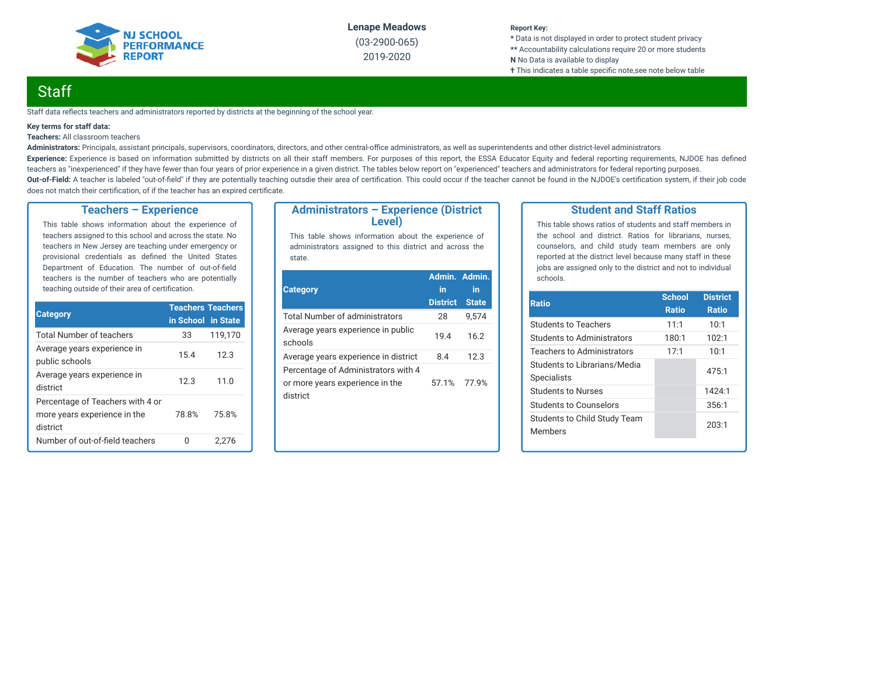

(03-2900-065) 2019-2020

#### **Report Key:**

**\*** Data is not displayed in order to protect student privacy **\*\*** Accountability calculations require 20 or more students **N** No Data is available to display **†** This indicates a table specific note, see note below table

# **Staff**

Staff data reflects teachers and administrators reported by districts at the beginning of the school year.

#### **Key terms for staff data:**

#### **Teachers:** All classroom teachers

Administrators: Principals, assistant principals, supervisors, coordinators, directors, and other central-office administrators, as well as superintendents and other district-level administrators Experience: Experience is based on information submitted by districts on all their staff members. For purposes of this report, the ESSA Educator Equity and federal reporting requirements, NJDOE has defined teachers as "inexperienced" if they have fewer than four years of prior experience in a given district. The tables below report on "experienced" teachers and administrators for federal reporting purposes. Out-of-Field: A teacher is labeled "out-of-field" if they are potentially teaching outsdie their area of certification. This could occur if the teacher cannot be found in the NJDOE's certification system, if their job code does not match their certification, of if the teacher has an expired certificate.

### **Teachers – Experience**

This table shows information about the experience of teachers assigned to this school and across the state. No teachers in New Jersey are teaching under emergency or provisional credentials as defined the United States Department of Education. The number of out-of-field teachers is the number of teachers who are potentially teaching outside of their area of certification.

|                                                                              | <b>Teachers Teachers</b> |         |  |
|------------------------------------------------------------------------------|--------------------------|---------|--|
| <b>Category</b>                                                              | in School in State       |         |  |
| <b>Total Number of teachers</b>                                              | 33                       | 119,170 |  |
| Average years experience in<br>public schools                                | 15.4                     | 12.3    |  |
| Average years experience in<br>district                                      | 12.3                     | 11.0    |  |
| Percentage of Teachers with 4 or<br>more years experience in the<br>district | 78.8%                    | 75.8%   |  |
| Number of out-of-field teachers                                              |                          | 2.276   |  |

### **Administrators – Experience (District Level)**

This table shows information about the experience of administrators assigned to this district and across the state.

| <b>Category</b>                                                                    | Admin. Admin.<br>in<br><b>District</b> | in<br><b>State</b> |
|------------------------------------------------------------------------------------|----------------------------------------|--------------------|
|                                                                                    |                                        |                    |
| Total Number of administrators                                                     | 28                                     | 9.574              |
| Average years experience in public<br>schools                                      | 19.4                                   | 16.2               |
| Average years experience in district                                               | 8.4                                    | 12.3               |
| Percentage of Administrators with 4<br>or more years experience in the<br>district | 57.1%                                  | 77.9%              |

### **Student and Staff Ratios**

This table shows ratios of students and staff members in the school and district. Ratios for librarians, nurses, counselors, and child study team members are only reported at the district level because many staff in these jobs are assigned only to the district and not to individual schools.

| <b>Ratio</b>                                       | <b>School</b><br><b>Ratio</b> | <b>District</b><br><b>Ratio</b> |
|----------------------------------------------------|-------------------------------|---------------------------------|
| <b>Students to Teachers</b>                        | 11:1                          | 10:1                            |
| Students to Administrators                         | 180:1                         | 102:1                           |
| Teachers to Administrators                         | 17:1                          | 10:1                            |
| Students to Librarians/Media<br><b>Specialists</b> |                               | 475:1                           |
| <b>Students to Nurses</b>                          |                               | 1424:1                          |
| Students to Counselors                             |                               | 356:1                           |
| Students to Child Study Team<br><b>Members</b>     |                               | 203:1                           |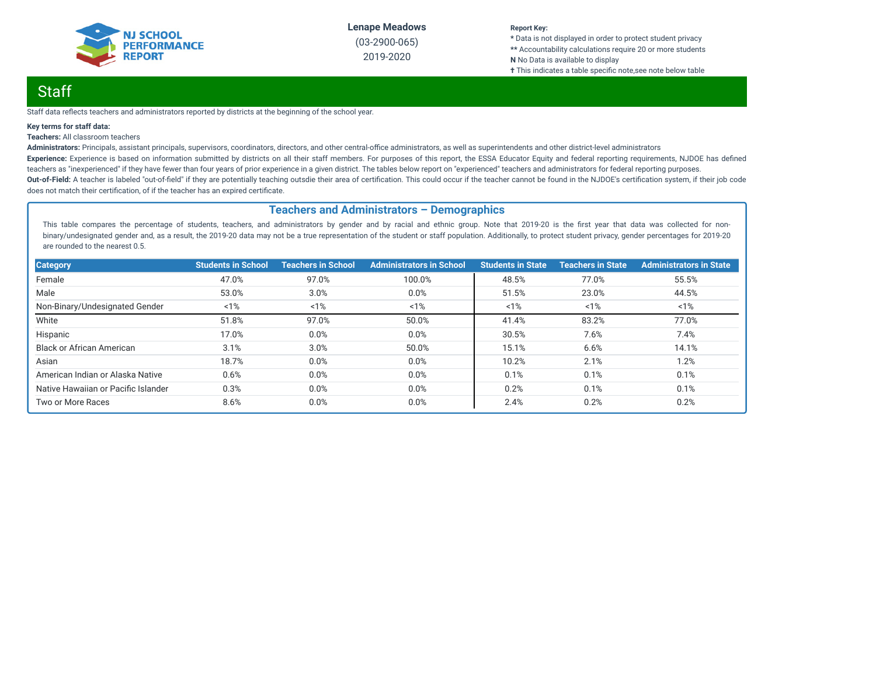

(03-2900-065) 2019-2020

#### **Report Key:**

**\*** Data is not displayed in order to protect student privacy **\*\*** Accountability calculations require 20 or more students **N** No Data is available to display **†** This indicates a table specific note, see note below table

# Staff

Staff data reflects teachers and administrators reported by districts at the beginning of the school year.

#### **Key terms for staff data:**

#### **Teachers:** All classroom teachers

Administrators: Principals, assistant principals, supervisors, coordinators, directors, and other central-office administrators, as well as superintendents and other district-level administrators Experience: Experience is based on information submitted by districts on all their staff members. For purposes of this report, the ESSA Educator Equity and federal reporting requirements, NJDOE has defined teachers as "inexperienced" if they have fewer than four years of prior experience in a given district. The tables below report on "experienced" teachers and administrators for federal reporting purposes. Out-of-Field: A teacher is labeled "out-of-field" if they are potentially teaching outsdie their area of certification. This could occur if the teacher cannot be found in the NJDOE's certification system, if their job code does not match their certification, of if the teacher has an expired certificate.

### **Teachers and Administrators – Demographics**

This table compares the percentage of students, teachers, and administrators by gender and by racial and ethnic group. Note that 2019-20 is the first year that data was collected for nonbinary/undesignated gender and, as a result, the 2019-20 data may not be a true representation of the student or staff population. Additionally, to protect student privacy, gender percentages for 2019-20 are rounded to the nearest 0.5.

| <b>Category</b>                     | <b>Students in School</b> | <b>Teachers in School</b> | <b>Administrators in School</b> | <b>Students in State</b> | <b>Teachers in State</b> | <b>Administrators in State</b> |
|-------------------------------------|---------------------------|---------------------------|---------------------------------|--------------------------|--------------------------|--------------------------------|
| Female                              | 47.0%                     | 97.0%                     | 100.0%                          | 48.5%                    | 77.0%                    | 55.5%                          |
| Male                                | 53.0%                     | 3.0%                      | 0.0%                            | 51.5%                    | 23.0%                    | 44.5%                          |
| Non-Binary/Undesignated Gender      | 1%                        | 1%                        | 1%                              | 1%                       | 1%                       | 1%                             |
| White                               | 51.8%                     | 97.0%                     | 50.0%                           | 41.4%                    | 83.2%                    | 77.0%                          |
| Hispanic                            | 17.0%                     | 0.0%                      | 0.0%                            | 30.5%                    | 7.6%                     | 7.4%                           |
| <b>Black or African American</b>    | 3.1%                      | 3.0%                      | 50.0%                           | 15.1%                    | 6.6%                     | 14.1%                          |
| Asian                               | 18.7%                     | 0.0%                      | 0.0%                            | 10.2%                    | 2.1%                     | 1.2%                           |
| American Indian or Alaska Native    | 0.6%                      | 0.0%                      | 0.0%                            | 0.1%                     | 0.1%                     | 0.1%                           |
| Native Hawaiian or Pacific Islander | 0.3%                      | 0.0%                      | 0.0%                            | 0.2%                     | 0.1%                     | 0.1%                           |
| Two or More Races                   | 8.6%                      | 0.0%                      | 0.0%                            | 2.4%                     | 0.2%                     | 0.2%                           |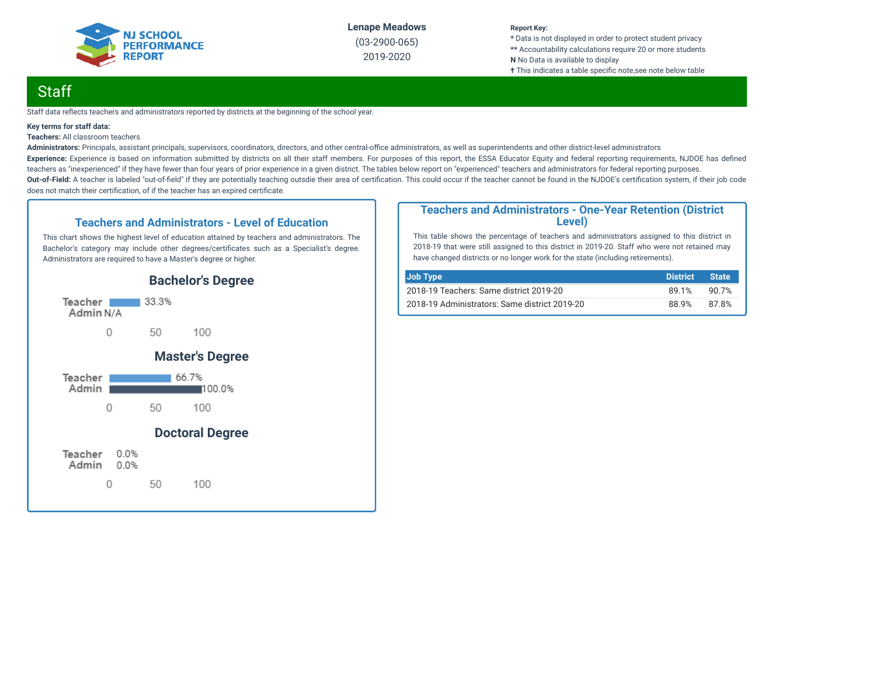

(03-2900-065) 2019-2020

### **Report Key:**

**\*** Data is not displayed in order to protect student privacy **\*\*** Accountability calculations require 20 or more students **N** No Data is available to display **†** This indicates a table specific note, see note below table

# **Staff**

Staff data reflects teachers and administrators reported by districts at the beginning of the school year.

#### **Key terms for staff data:**

**Teachers:** All classroom teachers

Administrators: Principals, assistant principals, supervisors, coordinators, directors, and other central-office administrators, as well as superintendents and other district-level administrators Experience: Experience is based on information submitted by districts on all their staff members. For purposes of this report, the ESSA Educator Equity and federal reporting requirements, NJDOE has defined teachers as "inexperienced" if they have fewer than four years of prior experience in a given district. The tables below report on "experienced" teachers and administrators for federal reporting purposes. Out-of-Field: A teacher is labeled "out-of-field" if they are potentially teaching outsdie their area of certification. This could occur if the teacher cannot be found in the NJDOE's certification system, if their job code does not match their certification, of if the teacher has an expired certificate.

### **Teachers and Administrators - Level of Education**

This chart shows the highest level of education attained by teachers and administrators. The Bachelor's category may include other degrees/certificates such as a Specialist's degree. Administrators are required to have a Master's degree or higher.



### **Teachers and Administrators - One-Year Retention (District Level)**

This table shows the percentage of teachers and administrators assigned to this district in 2018-19 that were still assigned to this district in 2019-20. Staff who were not retained may have changed districts or no longer work for the state (including retirements).

| Job Type                                      | <b>District</b> | <b>State</b> |
|-----------------------------------------------|-----------------|--------------|
| 2018-19 Teachers: Same district 2019-20       | 89.1%           | 90.7%        |
| 2018-19 Administrators: Same district 2019-20 | 88.9%           | 87.8%        |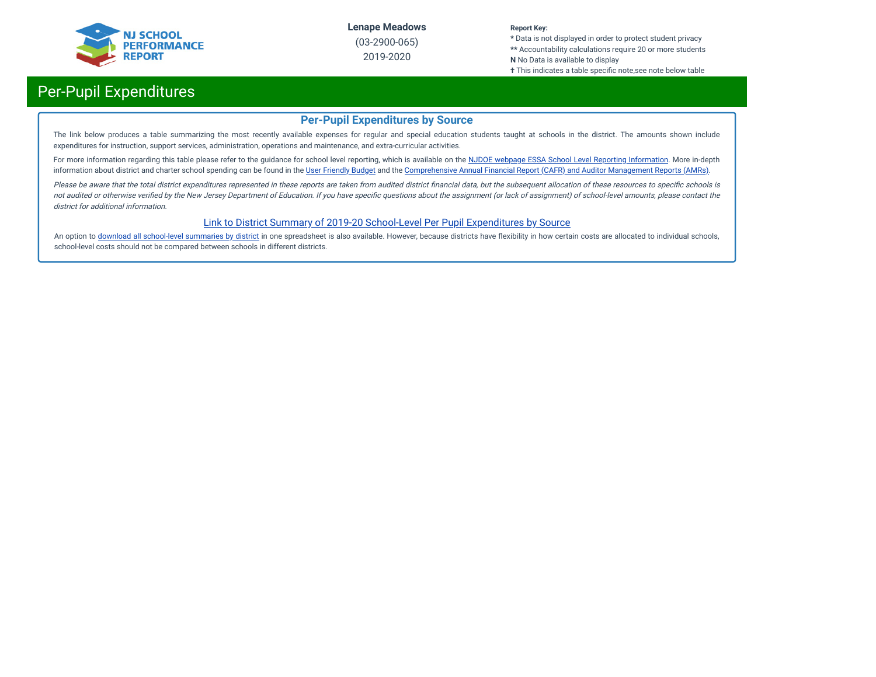

(03-2900-065) 2019-2020

#### **Report Key:**

**\*** Data is not displayed in order to protect student privacy **\*\*** Accountability calculations require 20 or more students **N** No Data is available to display

**†** This indicates a table specific note,see note below table

# Per-Pupil Expenditures

### **Per-Pupil Expenditures by Source**

The link below produces a table summarizing the most recently available expenses for regular and special education students taught at schools in the district. The amounts shown include expenditures for instruction, support services, administration, operations and maintenance, and extra-curricular activities.

For more information regarding this table please refer to the guidance for school level reporting, which is available on the NJDOE webpage ESSA School Level Reporting [Information](https://www.nj.gov/education/finance/fp/af/essa.shtml). More in-depth information about district and charter school spending can be found in the User [Friendly](https://www.nj.gov/education/finance/fp/ufb/) Budget and the [Comprehensive](https://www.nj.gov/education/finance/fp/cafr/search/) Annual Financial Report (CAFR) and Auditor Management Reports (AMRs).

Please be aware that the total district expenditures represented in these reports are taken from audited district financial data, but the subsequent allocation of these resources to specific schools is not audited or otherwise verified by the New Jersey Department of Education. If you have specific questions about the assignment (or lack of assignment) of school-level amounts, please contact the district for additional information.

### [Link to District Summary of 2019-20 School-Level Per Pupil Expenditures by Source](https://homeroom4.doe.state.nj.us/audsum/PpeReport?&did=2900&fileformat=html&reportname=PERFORMREPORT&fy=20)

An option to download all [school-level](https://homeroom4.doe.state.nj.us/audsum/PpeReport?&did=9999&fileformat=html&reportname=PERFORMREPORT&fy=20) summaries by district in one spreadsheet is also available. However, because districts have flexibility in how certain costs are allocated to individual schools, school-level costs should not be compared between schools in different districts.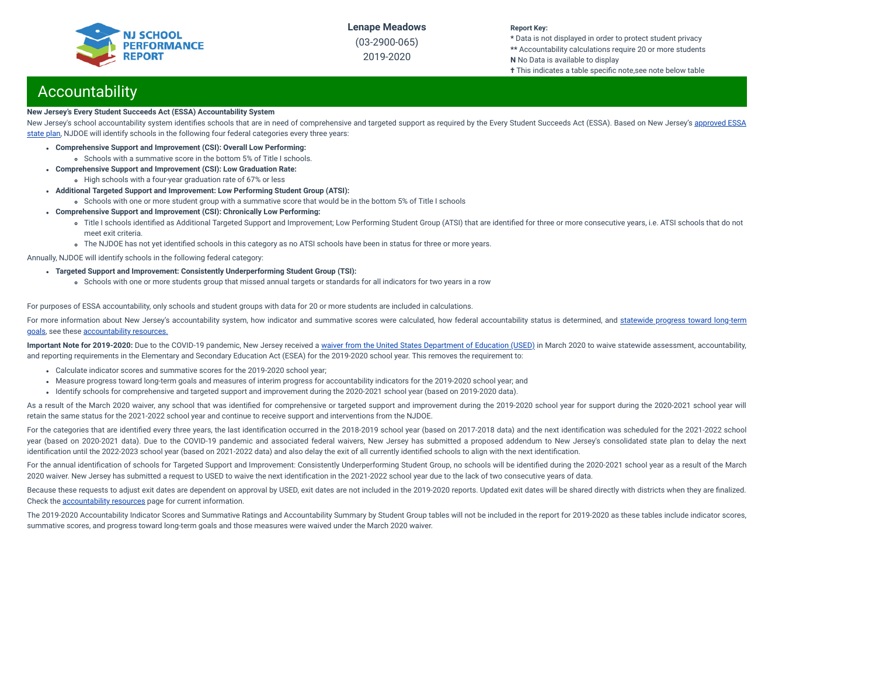

(03-2900-065) 2019-2020

#### **Report Key:**

**\*** Data is not displayed in order to protect student privacy **\*\*** Accountability calculations require 20 or more students **N** No Data is available to display

**†** This indicates a table specific note,see note below table

# Accountability

#### **New Jersey's Every Student Succeeds Act (ESSA) Accountability System**

New Jersey's school accountability system identifies schools that are in need of [comprehensive](https://www.nj.gov/education/ESSA/plan/plan.pdf) and targeted support as required by the Every Student Succeeds Act (ESSA). Based on New Jersey's approved ESSA state plan, NJDOE will identify schools in the following four federal categories every three years:

- **Comprehensive Support and Improvement (CSI): Overall Low Performing:**
	- Schools with a summative score in the bottom 5% of Title I schools.
- **Comprehensive Support and Improvement (CSI): Low Graduation Rate:**
- High schools with a four-year graduation rate of 67% or less
- **Additional Targeted Support and Improvement: Low Performing Student Group (ATSI):**
	- Schools with one or more student group with a summative score that would be in the bottom 5% of Title I schools
- **Comprehensive Support and Improvement (CSI): Chronically Low Performing:**
	- o Title I schools identified as Additional Targeted Support and Improvement; Low Performing Student Group (ATSI) that are identified for three or more consecutive years, i.e. ATSI schools that do not meet exit criteria.
	- The NJDOE has not yet identified schools in this category as no ATSI schools have been in status for three or more years.

Annually, NJDOE will identify schools in the following federal category:

- **Targeted Support and Improvement: Consistently Underperforming Student Group (TSI):**
	- Schools with one or more students group that missed annual targets or standards for all indicators for two years in a row

For purposes of ESSA accountability, only schools and student groups with data for 20 or more students are included in calculations.

For more information about New Jersey's [accountability](https://www.state.nj.us/education/title1/accountability/progress/19/2018-19%20Statewide%20Progress%20toward%20Long-Term%20Goals.pdf) system, how indicator and summative scores were calculated, how federal accountability status is determined, and statewide progress toward long-term goals, see these [accountability](https://www.state.nj.us/education/title1/accountability/progress/20) resources.

Important Note for 2019-2020: Due to the COVID-19 pandemic, New Jersey received a waiver from the United States [Department](https://www.nj.gov/education/covid19/news/docs/Accountability%20and%20School%20Identification,%20and%20Reporting%20Requirement%20Waiver%20Word.pdf) of Education (USED) in March 2020 to waive statewide assessment, accountability, and reporting requirements in the Elementary and Secondary Education Act (ESEA) for the 2019-2020 school year. This removes the requirement to:

- Calculate indicator scores and summative scores for the 2019-2020 school year;
- Measure progress toward long-term goals and measures of interim progress for accountability indicators for the 2019-2020 school year; and
- Identify schools for comprehensive and targeted support and improvement during the 2020-2021 school year (based on 2019-2020 data).

As a result of the March 2020 waiver, any school that was identified for comprehensive or targeted support and improvement during the 2019-2020 school year for support during the 2020-2021 school year will retain the same status for the 2021-2022 school year and continue to receive support and interventions from the NJDOE.

For the categories that are identified every three years, the last identification occurred in the 2018-2019 school year (based on 2017-2018 data) and the next identification was scheduled for the 2021-2022 school year (based on 2020-2021 data). Due to the COVID-19 pandemic and associated federal waivers, New Jersey has submitted a proposed addendum to New Jersey's consolidated state plan to delay the next identification until the 2022-2023 school year (based on 2021-2022 data) and also delay the exit of all currently identified schools to align with the next identification.

For the annual identification of schools for Targeted Support and Improvement: Consistently Underperforming Student Group, no schools will be identified during the 2020-2021 school year as a result of the March 2020 waiver. New Jersey has submitted a request to USED to waive the next identification in the 2021-2022 school year due to the lack of two consecutive years of data.

Because these requests to adjust exit dates are dependent on approval by USED, exit dates are not included in the 2019-2020 reports. Updated exit dates will be shared directly with districts when they are finalized. Check the [accountability](https://www.state.nj.us/education/title1/accountability/progress/20) resources page for current information.

The 2019-2020 Accountability Indicator Scores and Summative Ratings and Accountability Summary by Student Group tables will not be included in the report for 2019-2020 as these tables include indicator scores, summative scores, and progress toward long-term goals and those measures were waived under the March 2020 waiver.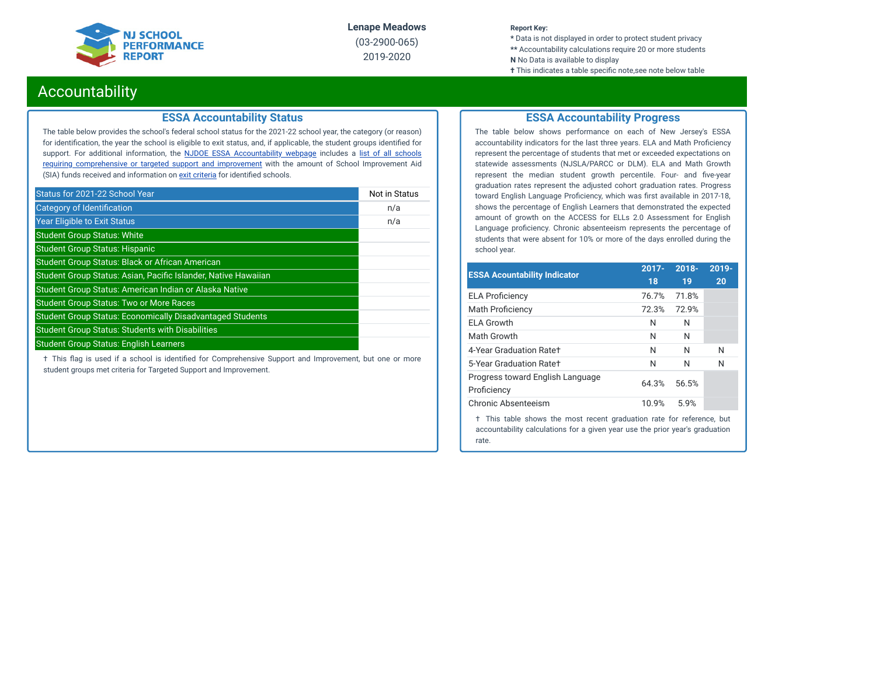

(03-2900-065) 2019-2020

#### **Report Key:**

**\*** Data is not displayed in order to protect student privacy **\*\*** Accountability calculations require 20 or more students **N** No Data is available to display

**†** This indicates a table specific note, see note below table

# Accountability

### **ESSA Accountability Status**

The table below provides the school's federal school status for the 2021-22 school year, the category (or reason) for identification, the year the school is eligible to exit status, and, if applicable, the student groups identified for support. For additional information, the **NJDOE ESSA [Accountability](https://www.state.nj.us/education/title1/accountability/progress/20/) webpage** includes a list of all schools requiring [comprehensive](https://www.state.nj.us/education/title1/accountability/progress/19/CAP%20Comprehensive_Targeted_Schools.xlsx) or targeted support and improvement with the amount of School Improvement Aid (SIA) funds received and information on exit [criteria](https://www.state.nj.us/education/title1/accountability/progress/20/ESSAExitCriteriaDocument.pdf) for identified schools.

| Status for 2021-22 School Year                                   | Not in Status |
|------------------------------------------------------------------|---------------|
| Category of Identification                                       | n/a           |
| <b>Year Eligible to Exit Status</b>                              | n/a           |
| <b>Student Group Status: White</b>                               |               |
| <b>Student Group Status: Hispanic</b>                            |               |
| <b>Student Group Status: Black or African American</b>           |               |
| Student Group Status: Asian, Pacific Islander, Native Hawaiian   |               |
| Student Group Status: American Indian or Alaska Native           |               |
| <b>Student Group Status: Two or More Races</b>                   |               |
| <b>Student Group Status: Economically Disadvantaged Students</b> |               |
| <b>Student Group Status: Students with Disabilities</b>          |               |
| <b>Student Group Status: English Learners</b>                    |               |

 $\dagger$  This flag is used if a school is identified for Comprehensive Support and Improvement, but one or more student groups met criteria for Targeted Support and Improvement.

### **ESSA Accountability Progress**

The table below shows performance on each of New Jersey's ESSA accountability indicators for the last three years. ELA and Math Proficiency represent the percentage of students that met or exceeded expectations on statewide assessments (NJSLA/PARCC or DLM). ELA and Math Growth represent the median student growth percentile. Four- and five-year graduation rates represent the adjusted cohort graduation rates. Progress toward English Language Proficiency, which was first available in 2017-18, shows the percentage of English Learners that demonstrated the expected amount of growth on the ACCESS for ELLs 2.0 Assessment for English Language proficiency. Chronic absenteeism represents the percentage of students that were absent for 10% or more of the days enrolled during the school year.

| <b>ESSA Acountability Indicator</b>             | $2017 -$<br>18 | $2018 -$<br>19 | 2019-<br>20 |
|-------------------------------------------------|----------------|----------------|-------------|
| <b>ELA Proficiency</b>                          | 76.7%          | 71.8%          |             |
| <b>Math Proficiency</b>                         | 72.3%          | 72.9%          |             |
| <b>ELA Growth</b>                               | N              | N              |             |
| Math Growth                                     | N              | N              |             |
| 4-Year Graduation Rate+                         | N              | N              | N           |
| 5-Year Graduation Rate+                         | N              | N              | N           |
| Progress toward English Language<br>Proficiency | 64.3%          | 56.5%          |             |
| Chronic Absenteeism                             | 10.9%          | 5.9%           |             |
|                                                 |                |                |             |

† This table shows the most recent graduation rate for reference, but accountability calculations for a given year use the prior year's graduation rate.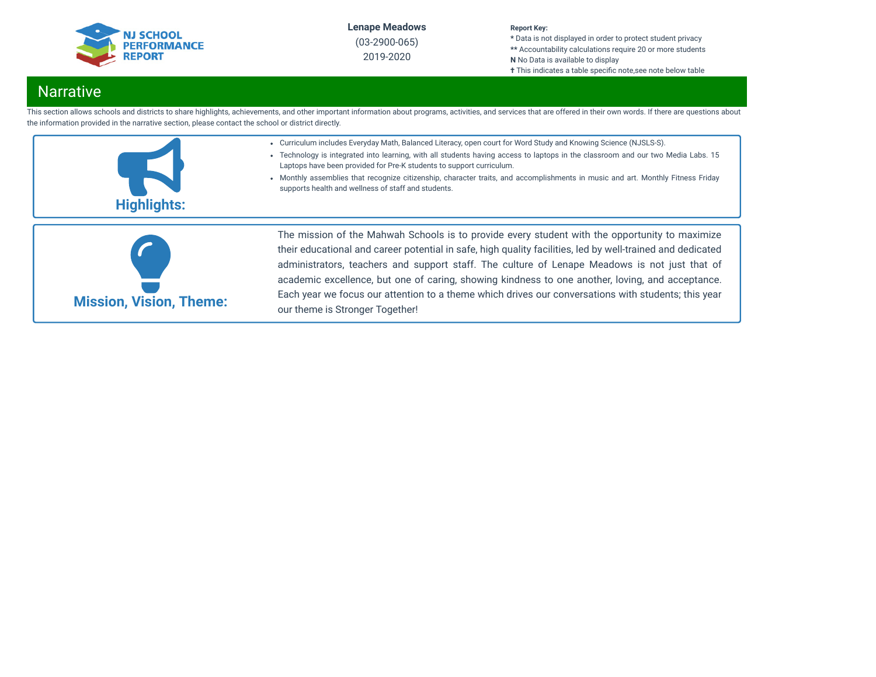

(03-2900-065) 2019-2020

### **Report Key:**

**\*** Data is not displayed in order to protect student privacy **\*\*** Accountability calculations require 20 or more students **N** No Data is available to display

**†** This indicates a table specific note, see note below table

# Narrative

This section allows schools and districts to share highlights, achievements, and other important information about programs, activities, and services that are offered in their own words. If there are questions about the information provided in the narrative section, please contact the school or district directly.





their educational and career potential in safe, high quality facilities, led by well-trained and dedicated administrators, teachers and support staff. The culture of Lenape Meadows is not just that of academic excellence, but one of caring, showing kindness to one another, loving, and acceptance. Each year we focus our attention to a theme which drives our conversations with students; this year our theme is Stronger Together!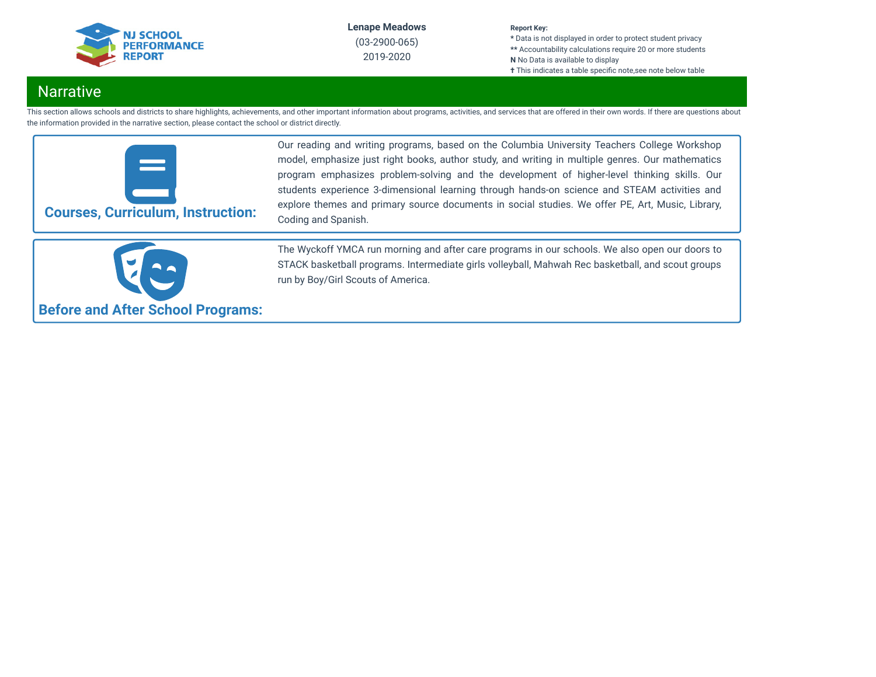

2019-2020

#### **Report Key:**

**\*** Data is not displayed in order to protect student privacy **\*\*** Accountability calculations require 20 or more students **N** No Data is available to display **†** This indicates a table specific note, see note below table

# **Narrative**

This section allows schools and districts to share highlights, achievements, and other important information about programs, activities, and services that are offered in their own words. If there are questions about the information provided in the narrative section, please contact the school or district directly.



Our reading and writing programs, based on the Columbia University Teachers College Workshop model, emphasize just right books, author study, and writing in multiple genres. Our mathematics program emphasizes problem-solving and the development of higher-level thinking skills. Our students experience 3-dimensional learning through hands-on science and STEAM activities and explore themes and primary source documents in social studies. We offer PE, Art, Music, Library, Coding and Spanish.



The Wyckoff YMCA run morning and after care programs in our schools. We also open our doors to STACK basketball programs. Intermediate girls volleyball, Mahwah Rec basketball, and scout groups run by Boy/Girl Scouts of America.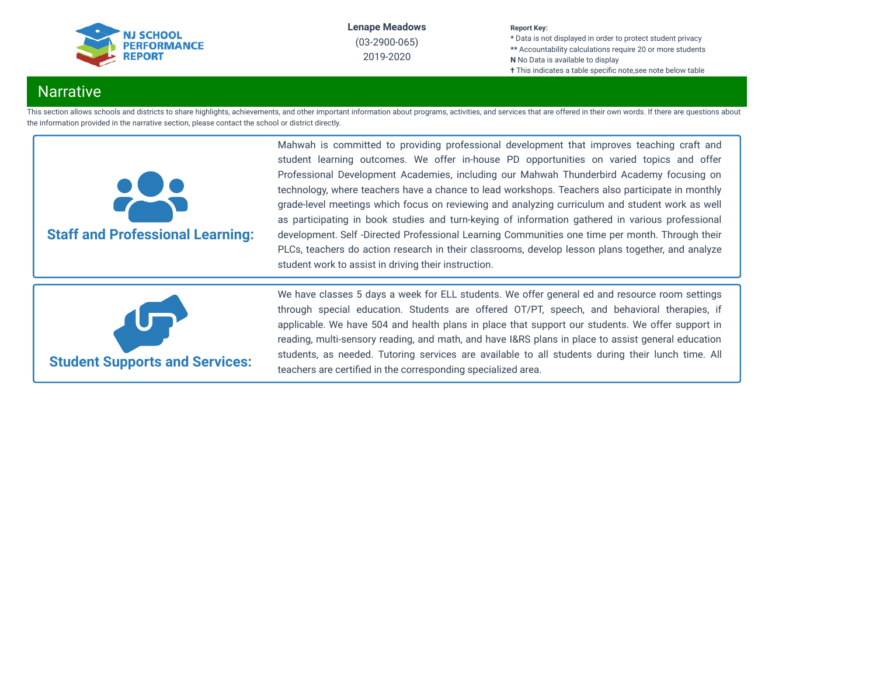

## 2019-2020

### **Report Key:**

**\*** Data is not displayed in order to protect student privacy **\*\*** Accountability calculations require 20 or more students **N** No Data is available to display **†** This indicates a table specific note,see note below table

# **Narrative**

This section allows schools and districts to share highlights, achievements, and other important information about programs, activities, and services that are offered in their own words. If there are questions about the information provided in the narrative section, please contact the school or district directly.



Mahwah is committed to providing professional development that improves teaching craft and student learning outcomes. We offer in-house PD opportunities on varied topics and offer Professional Development Academies, including our Mahwah Thunderbird Academy focusing on technology, where teachers have a chance to lead workshops. Teachers also participate in monthly grade-level meetings which focus on reviewing and analyzing curriculum and student work as well as participating in book studies and turn-keying of information gathered in various professional development. Self -Directed Professional Learning Communities one time per month. Through their PLCs, teachers do action research in their classrooms, develop lesson plans together, and analyze student work to assist in driving their instruction.



We have classes 5 days a week for ELL students. We offer general ed and resource room settings through special education. Students are offered OT/PT, speech, and behavioral therapies, if applicable. We have 504 and health plans in place that support our students. We offer support in reading, multi-sensory reading, and math, and have I&RS plans in place to assist general education students, as needed. Tutoring services are available to all students during their lunch time. All teachers are certified in the corresponding specialized area.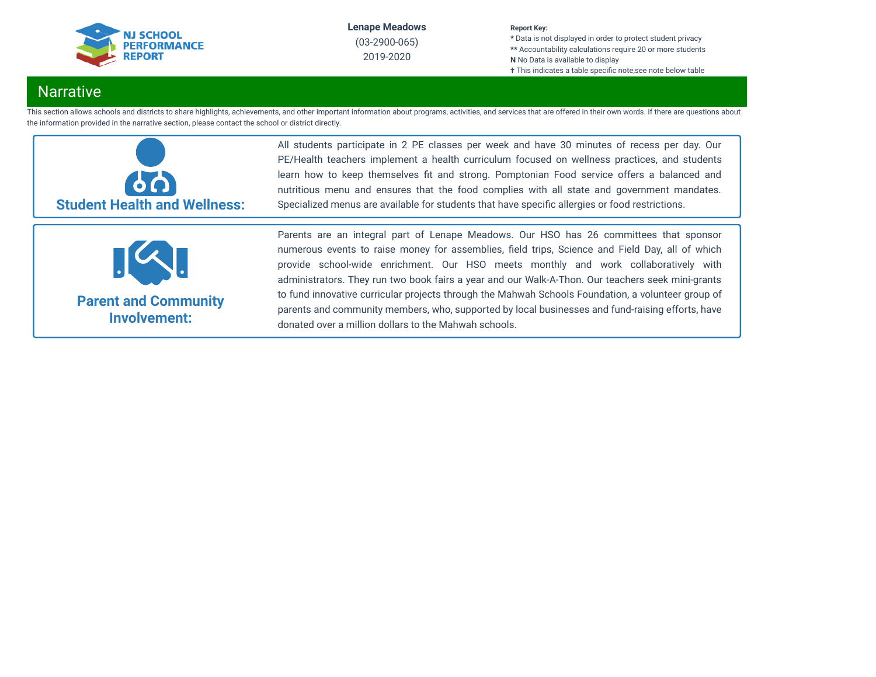

#### **Report Key:**

**\*** Data is not displayed in order to protect student privacy **\*\*** Accountability calculations require 20 or more students **N** No Data is available to display **†** This indicates a table specific note, see note below table

# **Narrative**

This section allows schools and districts to share highlights, achievements, and other important information about programs, activities, and services that are offered in their own words. If there are questions about the information provided in the narrative section, please contact the school or district directly.



All students participate in 2 PE classes per week and have 30 minutes of recess per day. Our PE/Health teachers implement a health curriculum focused on wellness practices, and students learn how to keep themselves fit and strong. Pomptonian Food service offers a balanced and nutritious menu and ensures that the food complies with all state and government mandates. Specialized menus are available for students that have specific allergies or food restrictions.



**Parent and Community Involvement:**

Parents are an integral part of Lenape Meadows. Our HSO has 26 committees that sponsor numerous events to raise money for assemblies, field trips, Science and Field Day, all of which provide school-wide enrichment. Our HSO meets monthly and work collaboratively with administrators. They run two book fairs a year and our Walk-A-Thon. Our teachers seek mini-grants to fund innovative curricular projects through the Mahwah Schools Foundation, a volunteer group of parents and community members, who, supported by local businesses and fund-raising efforts, have donated over a million dollars to the Mahwah schools.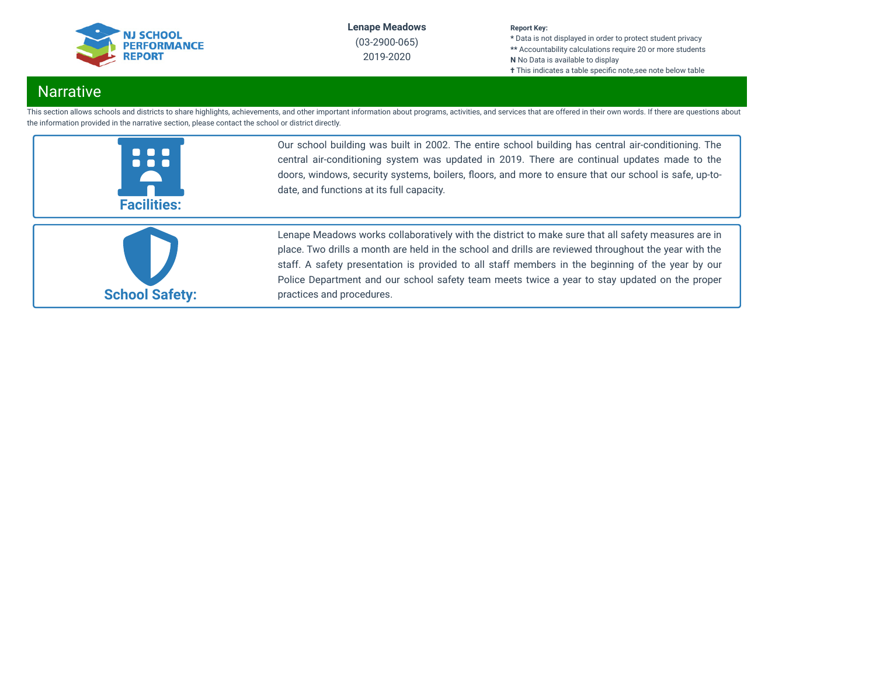

2019-2020

#### **Report Key:**

**\*** Data is not displayed in order to protect student privacy **\*\*** Accountability calculations require 20 or more students **N** No Data is available to display **†** This indicates a table specific note, see note below table

# Narrative

This section allows schools and districts to share highlights, achievements, and other important information about programs, activities, and services that are offered in their own words. If there are questions about the information provided in the narrative section, please contact the school or district directly.



Our school building was built in 2002. The entire school building has central air-conditioning. The central air-conditioning system was updated in 2019. There are continual updates made to the doors, windows, security systems, boilers, floors, and more to ensure that our school is safe, up-todate, and functions at its full capacity.



Lenape Meadows works collaboratively with the district to make sure that all safety measures are in place. Two drills a month are held in the school and drills are reviewed throughout the year with the staff. A safety presentation is provided to all staff members in the beginning of the year by our Police Department and our school safety team meets twice a year to stay updated on the proper practices and procedures.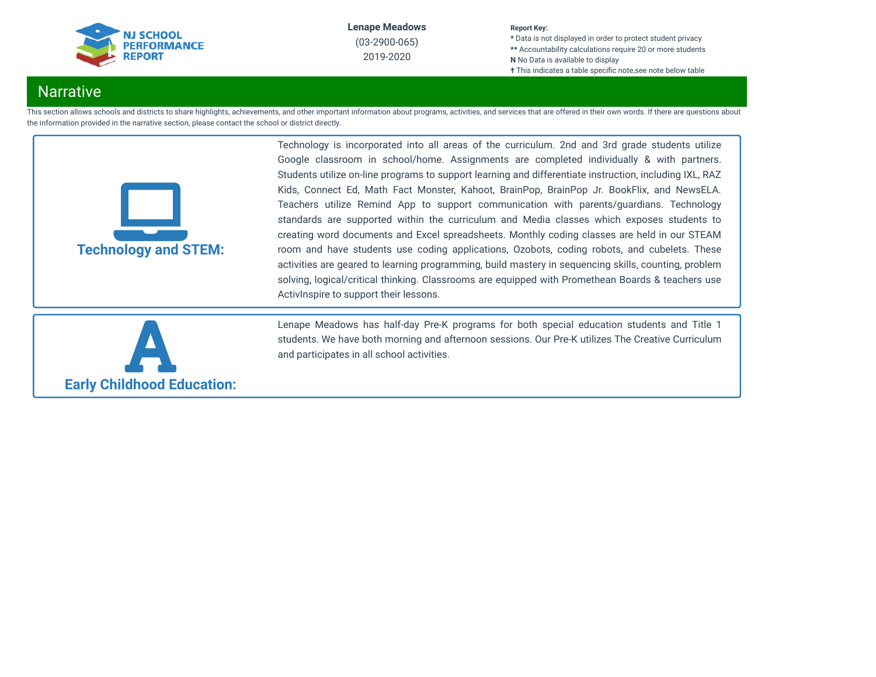

#### **Report Key:**

**\*** Data is not displayed in order to protect student privacy **\*\*** Accountability calculations require 20 or more students **N** No Data is available to display **†** This indicates a table specific note, see note below table

# **Narrative**

This section allows schools and districts to share highlights, achievements, and other important information about programs, activities, and services that are offered in their own words. If there are questions about the information provided in the narrative section, please contact the school or district directly.



Technology is incorporated into all areas of the curriculum. 2nd and 3rd grade students utilize Google classroom in school/home. Assignments are completed individually & with partners. Students utilize on-line programs to support learning and differentiate instruction, including IXL, RAZ Kids, Connect Ed, Math Fact Monster, Kahoot, BrainPop, BrainPop Jr. BookFlix, and NewsELA. Teachers utilize Remind App to support communication with parents/guardians. Technology standards are supported within the curriculum and Media classes which exposes students to creating word documents and Excel spreadsheets. Monthly coding classes are held in our STEAM room and have students use coding applications, Ozobots, coding robots, and cubelets. These activities are geared to learning programming, build mastery in sequencing skills, counting, problem solving, logical/critical thinking. Classrooms are equipped with Promethean Boards & teachers use ActivInspire to support their lessons.



Lenape Meadows has half-day Pre-K programs for both special education students and Title 1 students. We have both morning and afternoon sessions. Our Pre-K utilizes The Creative Curriculum and participates in all school activities.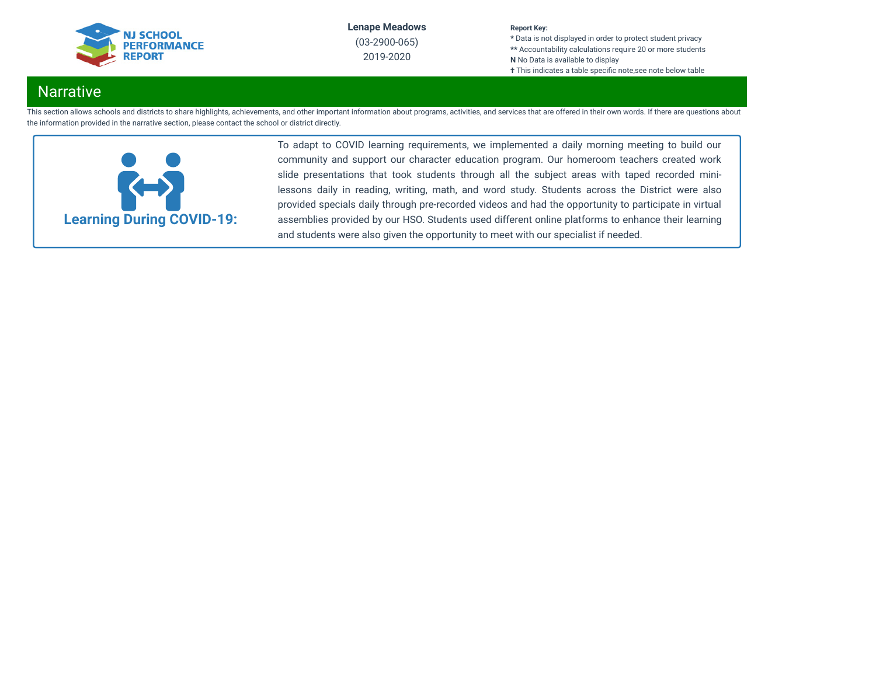

2019-2020

#### **Report Key:**

**\*** Data is not displayed in order to protect student privacy **\*\*** Accountability calculations require 20 or more students **N** No Data is available to display **†** This indicates a table specific note, see note below table

# **Narrative**

This section allows schools and districts to share highlights, achievements, and other important information about programs, activities, and services that are offered in their own words. If there are questions about the information provided in the narrative section, please contact the school or district directly.



To adapt to COVID learning requirements, we implemented a daily morning meeting to build our community and support our character education program. Our homeroom teachers created work slide presentations that took students through all the subject areas with taped recorded minilessons daily in reading, writing, math, and word study. Students across the District were also provided specials daily through pre-recorded videos and had the opportunity to participate in virtual assemblies provided by our HSO. Students used different online platforms to enhance their learning and students were also given the opportunity to meet with our specialist if needed.